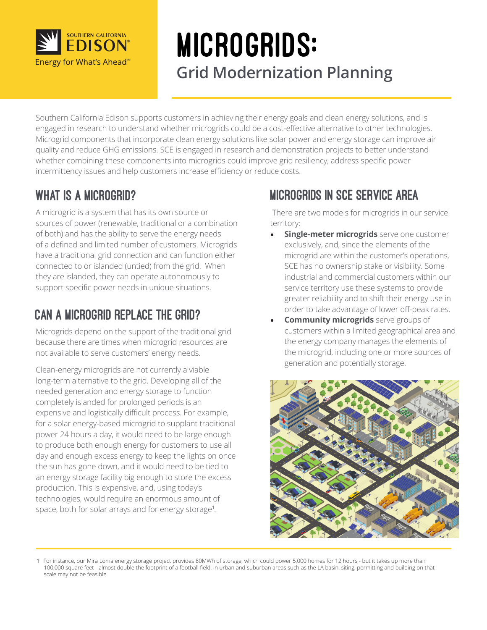

# MicrogridS: **Grid Modernization Planning**

Southern California Edison supports customers in achieving their energy goals and clean energy solutions, and is engaged in research to understand whether microgrids could be a cost-effective alternative to other technologies. Microgrid components that incorporate clean energy solutions like solar power and energy storage can improve air quality and reduce GHG emissions. SCE is engaged in research and demonstration projects to better understand whether combining these components into microgrids could improve grid resiliency, address specific power intermittency issues and help customers increase efficiency or reduce costs.

# What is a Microgrid?

A microgrid is a system that has its own source or sources of power (renewable, traditional or a combination of both) and has the ability to serve the energy needs of a defined and limited number of customers. Microgrids have a traditional grid connection and can function either connected to or islanded (untied) from the grid. When they are islanded, they can operate autonomously to support specific power needs in unique situations.

# Can a Microgrid Replace the Grid?

Microgrids depend on the support of the traditional grid because there are times when microgrid resources are not available to serve customers' energy needs.

Clean-energy microgrids are not currently a viable long-term alternative to the grid. Developing all of the needed generation and energy storage to function completely islanded for prolonged periods is an expensive and logistically difficult process. For example, for a solar energy-based microgrid to supplant traditional power 24 hours a day, it would need to be large enough to produce both enough energy for customers to use all day and enough excess energy to keep the lights on once the sun has gone down, and it would need to be tied to an energy storage facility big enough to store the excess production. This is expensive, and, using today's technologies, would require an enormous amount of space, both for solar arrays and for energy storage<sup>1</sup>.

# Microgrids in SCE Service Area

 There are two models for microgrids in our service territory:

- **Single-meter microgrids** serve one customer exclusively, and, since the elements of the microgrid are within the customer's operations, SCE has no ownership stake or visibility. Some industrial and commercial customers within our service territory use these systems to provide greater reliability and to shift their energy use in order to take advantage of lower off-peak rates.
- **Community microgrids** serve groups of customers within a limited geographical area and the energy company manages the elements of the microgrid, including one or more sources of generation and potentially storage.



<sup>1</sup> For instance, our Mira Loma energy storage project provides 80MWh of storage, which could power 5,000 homes for 12 hours - but it takes up more than 100,000 square feet - almost double the footprint of a football field. In urban and suburban areas such as the LA basin, siting, permitting and building on that scale may not be feasible.